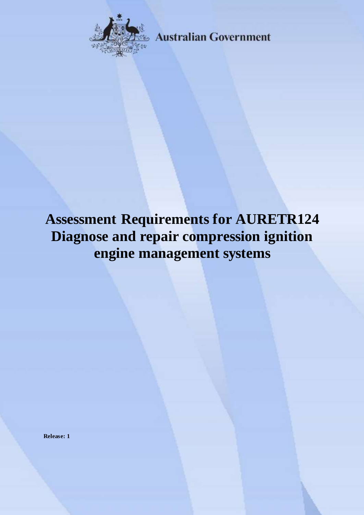

**Australian Government** 

# **Assessment Requirements for AURETR124 Diagnose and repair compression ignition engine management systems**

**Release: 1**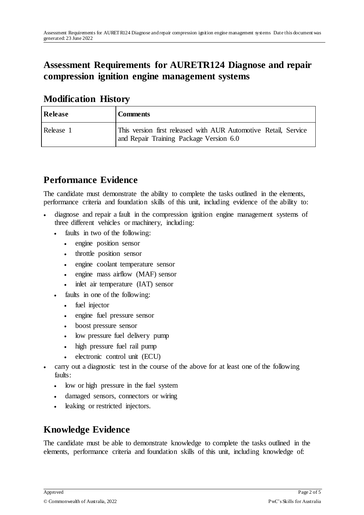## **Assessment Requirements for AURETR124 Diagnose and repair compression ignition engine management systems**

#### **Modification History**

| Release   | <b>Comments</b>                                                                                            |
|-----------|------------------------------------------------------------------------------------------------------------|
| Release 1 | This version first released with AUR Automotive Retail, Service<br>and Repair Training Package Version 6.0 |

## **Performance Evidence**

The candidate must demonstrate the ability to complete the tasks outlined in the elements, performance criteria and foundation skills of this unit, including evidence of the ability to:

- diagnose and repair a fault in the compression ignition engine management systems of three different vehicles or machinery, including:
	- faults in two of the following:
		- engine position sensor
		- throttle position sensor
		- engine coolant temperature sensor
		- engine mass airflow (MAF) sensor
		- inlet air temperature (IAT) sensor
	- faults in one of the following:
		- fuel injector
		- engine fuel pressure sensor
		- boost pressure sensor
		- low pressure fuel delivery pump
		- high pressure fuel rail pump
		- electronic control unit (ECU)
- carry out a diagnostic test in the course of the above for at least one of the following faults:
	- low or high pressure in the fuel system
	- damaged sensors, connectors or wiring
	- leaking or restricted injectors.

## **Knowledge Evidence**

The candidate must be able to demonstrate knowledge to complete the tasks outlined in the elements, performance criteria and foundation skills of this unit, including knowledge of: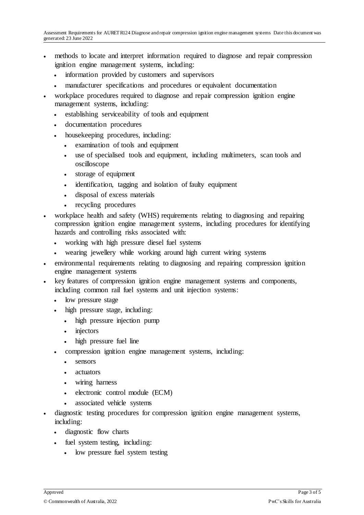- methods to locate and interpret information required to diagnose and repair compression ignition engine management systems, including:
	- information provided by customers and supervisors
	- manufacturer specifications and procedures or equivalent documentation
- workplace procedures required to diagnose and repair compression ignition engine management systems, including:
	- establishing serviceability of tools and equipment
	- documentation procedures
	- housekeeping procedures, including:
		- examination of tools and equipment
		- use of specialised tools and equipment, including multimeters, scan tools and oscilloscope
		- storage of equipment
		- identification, tagging and isolation of faulty equipment
		- disposal of excess materials
		- recycling procedures
- workplace health and safety (WHS) requirements relating to diagnosing and repairing compression ignition engine management systems, including procedures for identifying hazards and controlling risks associated with:
	- working with high pressure diesel fuel systems
	- wearing jewellery while working around high current wiring systems
- environmental requirements relating to diagnosing and repairing compression ignition engine management systems
- key features of compression ignition engine management systems and components, including common rail fuel systems and unit injection systems:
	- low pressure stage
	- high pressure stage, including:
		- high pressure injection pump
		- injectors
		- high pressure fuel line
	- compression ignition engine management systems, including:
		- sensors
		- actuators
		- wiring harness
		- electronic control module (ECM)
		- associated vehicle systems
- diagnostic testing procedures for compression ignition engine management systems, including:
	- diagnostic flow charts
	- fuel system testing, including:
		- low pressure fuel system testing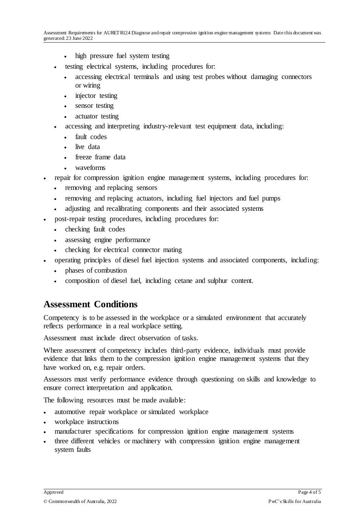- high pressure fuel system testing
- testing electrical systems, including procedures for:
	- accessing electrical terminals and using test probes without damaging connectors or wiring
	- injector testing
	- sensor testing
	- actuator testing
- accessing and interpreting industry-relevant test equipment data, including:
	- fault codes
	- live data
	- freeze frame data
	- waveforms
- repair for compression ignition engine management systems, including procedures for:
	- removing and replacing sensors
	- removing and replacing actuators, including fuel injectors and fuel pumps
	- adjusting and recalibrating components and their associated systems
- post-repair testing procedures, including procedures for:
	- checking fault codes
	- assessing engine performance
	- checking for electrical connector mating
- operating principles of diesel fuel injection systems and associated components, including:
	- phases of combustion
	- composition of diesel fuel, including cetane and sulphur content.

#### **Assessment Conditions**

Competency is to be assessed in the workplace or a simulated environment that accurately reflects performance in a real workplace setting.

Assessment must include direct observation of tasks.

Where assessment of competency includes third-party evidence, individuals must provide evidence that links them to the compression ignition engine management systems that they have worked on, e.g. repair orders.

Assessors must verify performance evidence through questioning on skills and knowledge to ensure correct interpretation and application.

The following resources must be made available:

- automotive repair workplace or simulated workplace
- workplace instructions
- manufacturer specifications for compression ignition engine management systems
- three different vehicles or machinery with compression ignition engine management system faults